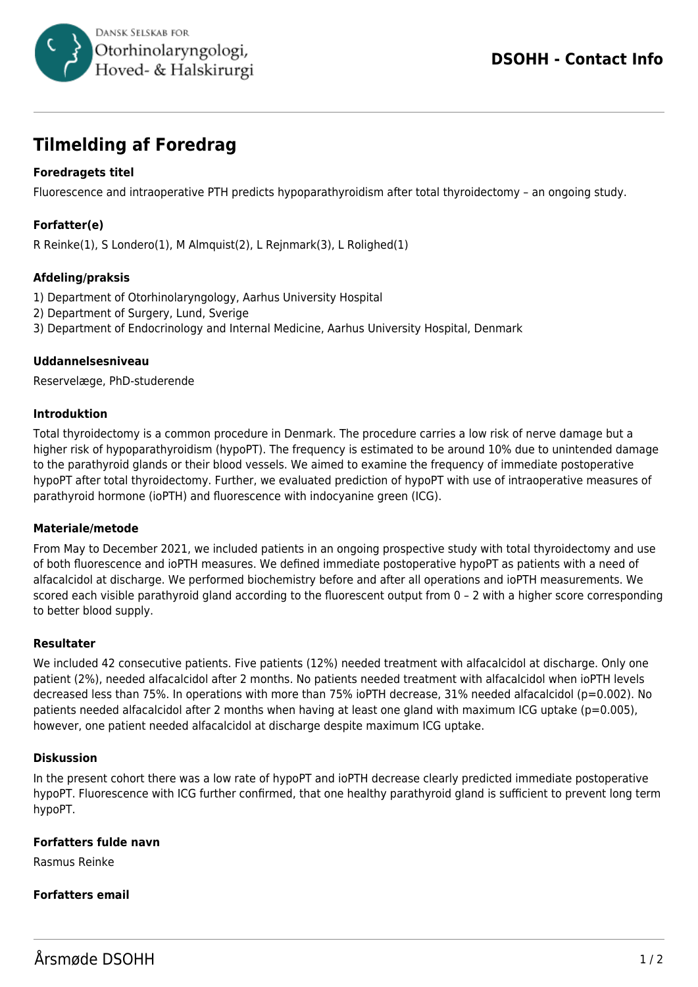

# **Tilmelding af Foredrag**

## **Foredragets titel**

Fluorescence and intraoperative PTH predicts hypoparathyroidism after total thyroidectomy – an ongoing study.

## **Forfatter(e)**

R Reinke(1), S Londero(1), M Almquist(2), L Rejnmark(3), L Rolighed(1)

### **Afdeling/praksis**

- 1) Department of Otorhinolaryngology, Aarhus University Hospital
- 2) Department of Surgery, Lund, Sverige
- 3) Department of Endocrinology and Internal Medicine, Aarhus University Hospital, Denmark

#### **Uddannelsesniveau**

Reservelæge, PhD-studerende

#### **Introduktion**

Total thyroidectomy is a common procedure in Denmark. The procedure carries a low risk of nerve damage but a higher risk of hypoparathyroidism (hypoPT). The frequency is estimated to be around 10% due to unintended damage to the parathyroid glands or their blood vessels. We aimed to examine the frequency of immediate postoperative hypoPT after total thyroidectomy. Further, we evaluated prediction of hypoPT with use of intraoperative measures of parathyroid hormone (ioPTH) and fluorescence with indocyanine green (ICG).

#### **Materiale/metode**

From May to December 2021, we included patients in an ongoing prospective study with total thyroidectomy and use of both fluorescence and ioPTH measures. We defined immediate postoperative hypoPT as patients with a need of alfacalcidol at discharge. We performed biochemistry before and after all operations and ioPTH measurements. We scored each visible parathyroid gland according to the fluorescent output from 0 – 2 with a higher score corresponding to better blood supply.

#### **Resultater**

We included 42 consecutive patients. Five patients (12%) needed treatment with alfacalcidol at discharge. Only one patient (2%), needed alfacalcidol after 2 months. No patients needed treatment with alfacalcidol when ioPTH levels decreased less than 75%. In operations with more than 75% ioPTH decrease, 31% needed alfacalcidol (p=0.002). No patients needed alfacalcidol after 2 months when having at least one gland with maximum ICG uptake (p=0.005), however, one patient needed alfacalcidol at discharge despite maximum ICG uptake.

#### **Diskussion**

In the present cohort there was a low rate of hypoPT and ioPTH decrease clearly predicted immediate postoperative hypoPT. Fluorescence with ICG further confirmed, that one healthy parathyroid gland is sufficient to prevent long term hypoPT.

#### **Forfatters fulde navn**

Rasmus Reinke

#### **Forfatters email**